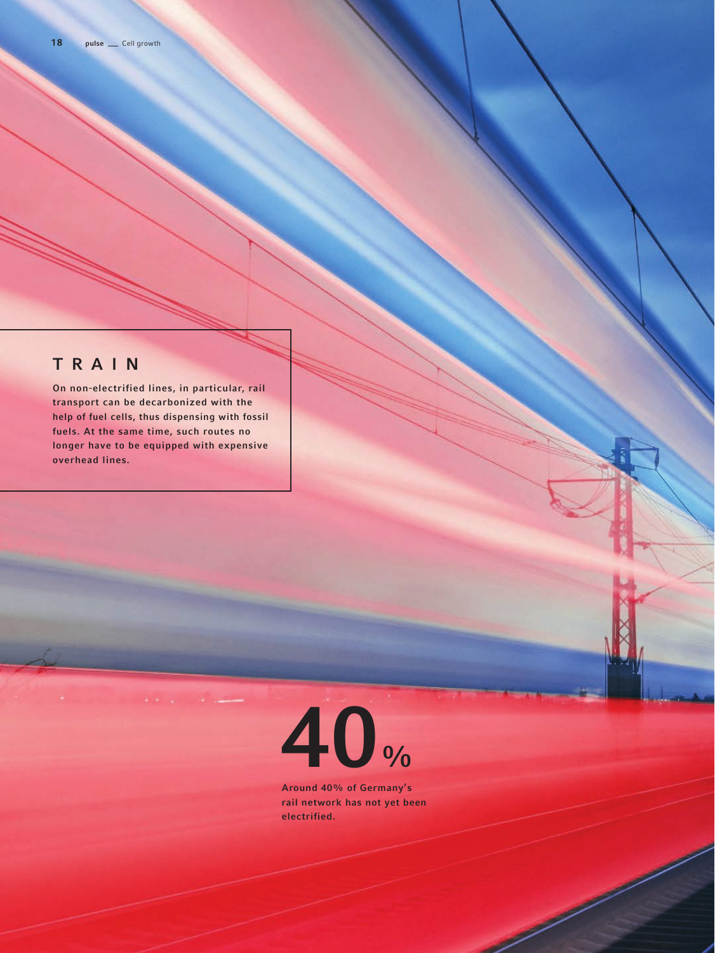## TRAIN

On non-electrified lines, in particular, rail transport can be decarbonized with the help of fuel cells, thus dispensing with fossil fuels. At the same time, such routes no longer have to be equipped with expensive overhead lines.



Around 40% of Germany's rail network has not yet been electrified.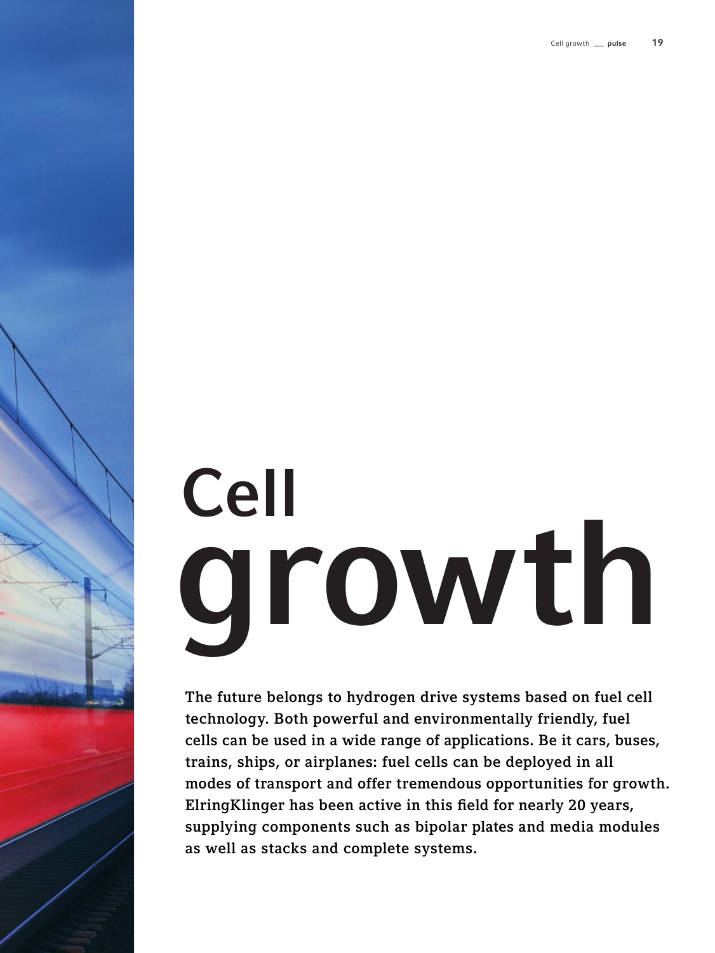# Cell growth

The future belongs to hydrogen drive systems based on fuel cell technology. Both powerful and environmentally friendly, fuel cells can be used in a wide range of applications. Be it cars, buses, trains, ships, or airplanes: fuel cells can be deployed in all modes of transport and offer tremendous opportunities for growth. ElringKlinger has been active in this field for nearly 20 years, supplying components such as bipolar plates and media modules as well as stacks and complete systems.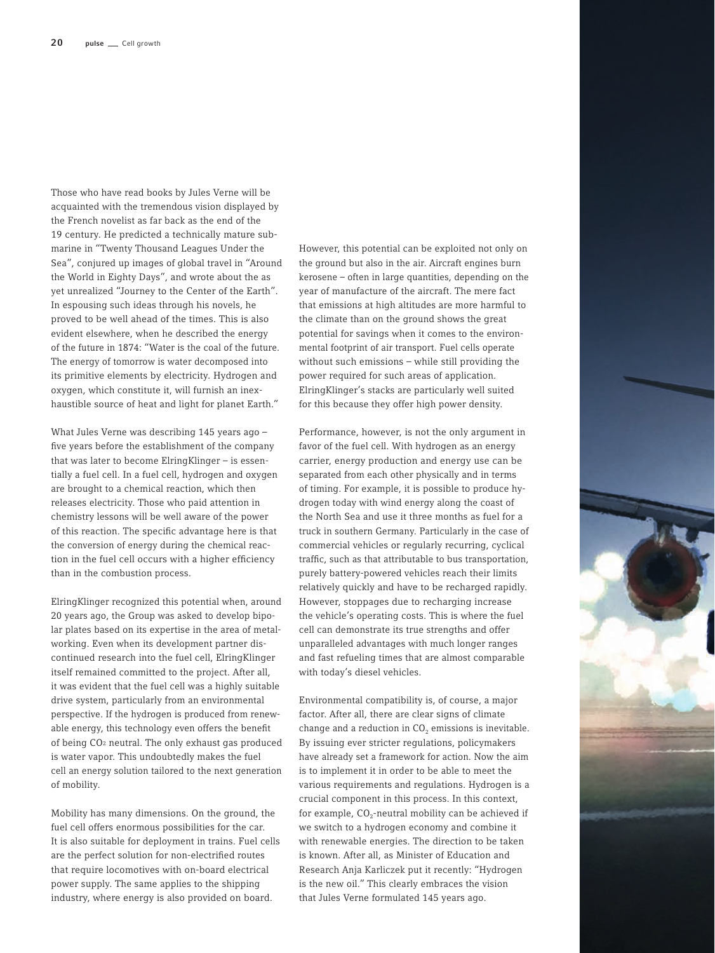Those who have read books by Jules Verne will be acquainted with the tremendous vision displayed by the French novelist as far back as the end of the 19 century. He predicted a technically mature submarine in "Twenty Thousand Leagues Under the Sea", conjured up images of global travel in "Around the World in Eighty Days", and wrote about the as yet unrealized "Journey to the Center of the Earth". In espousing such ideas through his novels, he proved to be well ahead of the times. This is also evident elsewhere, when he described the energy of the future in 1874: "Water is the coal of the future. The energy of tomorrow is water decomposed into its primitive elements by electricity. Hydrogen and oxygen, which constitute it, will furnish an inexhaustible source of heat and light for planet Earth."

What Jules Verne was describing 145 years ago – five years before the establishment of the company that was later to become ElringKlinger – is essentially a fuel cell. In a fuel cell, hydrogen and oxygen are brought to a chemical reaction, which then releases electricity. Those who paid attention in chemistry lessons will be well aware of the power of this reaction. The specific advantage here is that the conversion of energy during the chemical reaction in the fuel cell occurs with a higher efficiency than in the combustion process.

ElringKlinger recognized this potential when, around 20 years ago, the Group was asked to develop bipolar plates based on its expertise in the area of metalworking. Even when its development partner discontinued research into the fuel cell, ElringKlinger itself remained committed to the project. After all, it was evident that the fuel cell was a highly suitable drive system, particularly from an environmental perspective. If the hydrogen is produced from renewable energy, this technology even offers the benefit of being CO2 neutral. The only exhaust gas produced is water vapor. This undoubtedly makes the fuel cell an energy solution tailored to the next generation of mobility.

Mobility has many dimensions. On the ground, the fuel cell offers enormous possibilities for the car. It is also suitable for deployment in trains. Fuel cells are the perfect solution for non-electrified routes that require locomotives with on-board electrical power supply. The same applies to the shipping industry, where energy is also provided on board.

However, this potential can be exploited not only on the ground but also in the air. Aircraft engines burn kerosene – often in large quantities, depending on the year of manufacture of the aircraft. The mere fact that emissions at high altitudes are more harmful to the climate than on the ground shows the great potential for savings when it comes to the environmental footprint of air transport. Fuel cells operate without such emissions – while still providing the power required for such areas of application. ElringKlinger's stacks are particularly well suited for this because they offer high power density.

Performance, however, is not the only argument in favor of the fuel cell. With hydrogen as an energy carrier, energy production and energy use can be separated from each other physically and in terms of timing. For example, it is possible to produce hydrogen today with wind energy along the coast of the North Sea and use it three months as fuel for a truck in southern Germany. Particularly in the case of commercial vehicles or regularly recurring, cyclical traffic, such as that attributable to bus transportation, purely battery-powered vehicles reach their limits relatively quickly and have to be recharged rapidly. However, stoppages due to recharging increase the vehicle's operating costs. This is where the fuel cell can demonstrate its true strengths and offer unparalleled advantages with much longer ranges and fast refueling times that are almost comparable with today's diesel vehicles.

Environmental compatibility is, of course, a major factor. After all, there are clear signs of climate change and a reduction in  $CO<sub>2</sub>$  emissions is inevitable. By issuing ever stricter regulations, policymakers have already set a framework for action. Now the aim is to implement it in order to be able to meet the various requirements and regulations. Hydrogen is a crucial component in this process. In this context, for example,  $CO_2$ -neutral mobility can be achieved if we switch to a hydrogen economy and combine it with renewable energies. The direction to be taken is known. After all, as Minister of Education and Research Anja Karliczek put it recently: "Hydrogen is the new oil." This clearly embraces the vision that Jules Verne formulated 145 years ago.

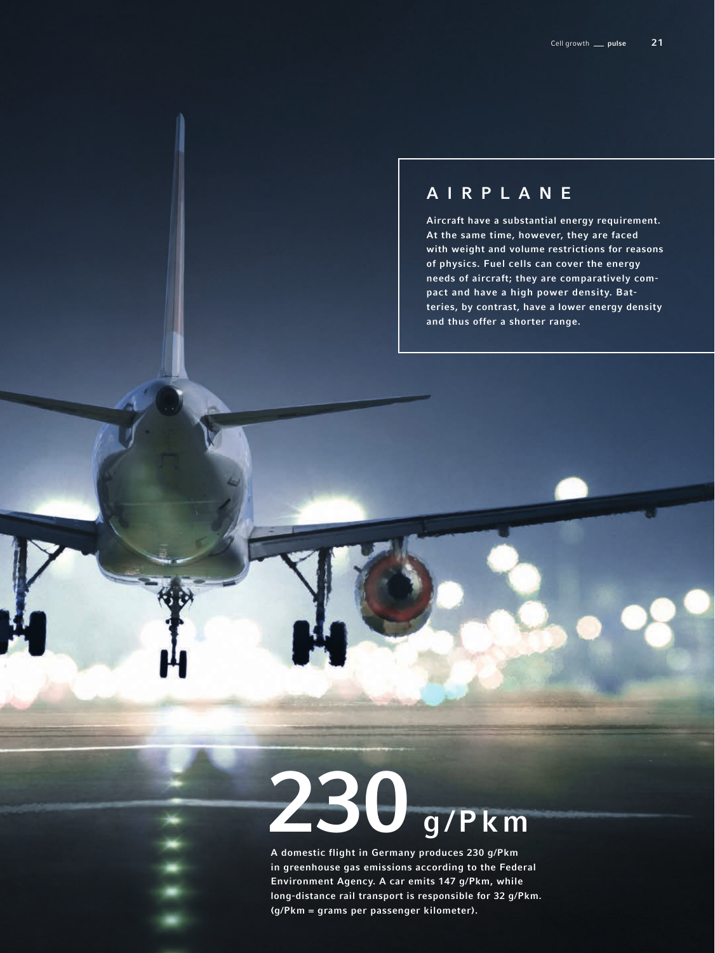## AIRPLANE

Aircraft have a substantial energy requirement. At the same time, however, they are faced with weight and volume restrictions for reasons of physics. Fuel cells can cover the energy needs of aircraft; they are comparatively compact and have a high power density. Batteries, by contrast, have a lower energy density and thus offer a shorter range.

## g/Pkm

A domestic flight in Germany produces 230 g/Pkm in greenhouse gas emissions according to the Federal Environment Agency. A car emits 147 g/Pkm, while long-distance rail transport is responsible for 32 g/Pkm. (g/Pkm = grams per passenger kilometer).

 $\overline{\phantom{0}}$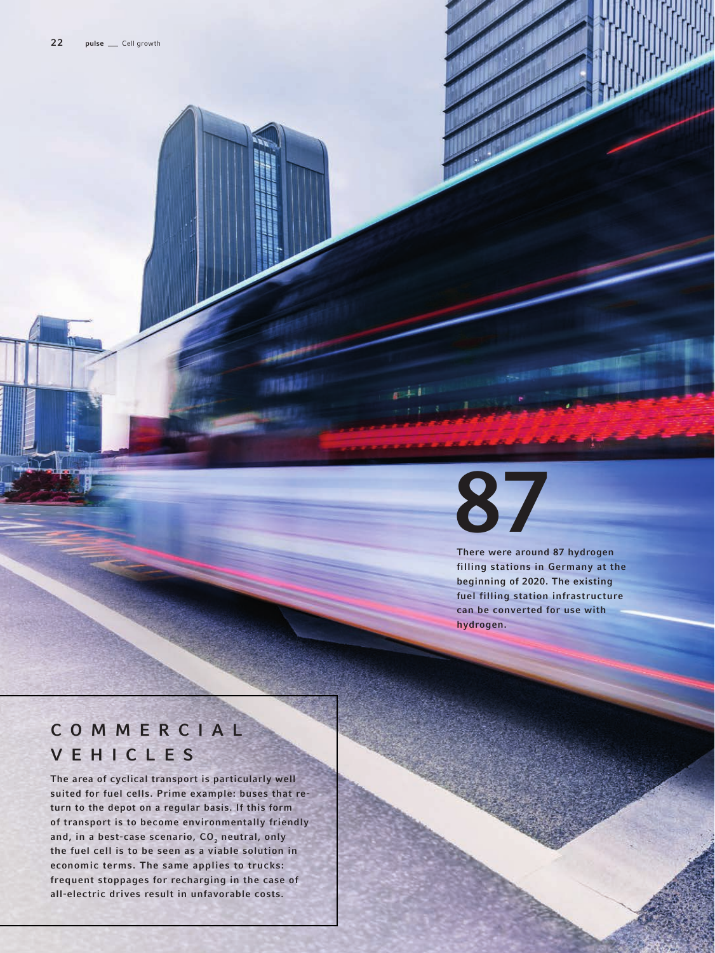

There were around 87 hydrogen filling stations in Germany at the beginning of 2020. The existing fuel filling station infrastructure can be converted for use with hydrogen.

## C O M M E R C I A L VEHICLES

The area of cyclical transport is particularly well suited for fuel cells. Prime example: buses that return to the depot on a regular basis. If this form of transport is to become environmentally friendly and, in a best-case scenario,  $CO<sub>2</sub>$  neutral, only the fuel cell is to be seen as a viable solution in economic terms. The same applies to trucks: frequent stoppages for recharging in the case of all-electric drives result in unfavorable costs.